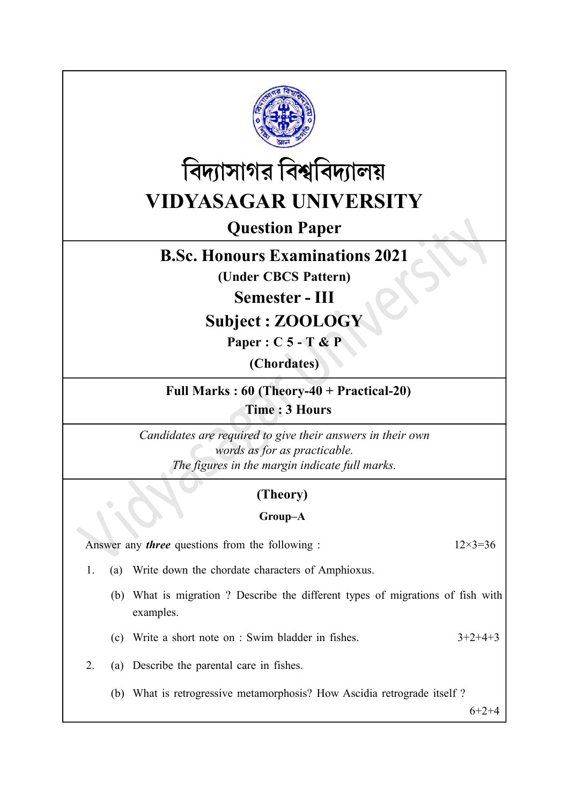



# Question Paper

## B.Sc. Honours Examinations 2021

(Under CBCS Pattern)

Semester - III

Subject : ZOOLOGY

Paper : C 5 - T & P

(Chordates)

Full Marks : 60 (Theory-40 + Practical-20) Time : 3 Hours

Candidates are required to give their answers in their own words as for as practicable. The figures in the margin indicate full marks.

## (Theory)

### Group–A

Answer any *three* questions from the following :  $12 \times 3 = 36$ 

- 1. (a) Write down the chordate characters of Amphioxus.
	- (b) What is migration ? Describe the different types of migrations of fish with examples.
	- (c) Write a short note on : Swim bladder in fishes.  $3+2+4+3$
- 2. (a) Describe the parental care in fishes.
	- (b) What is retrogressive metamorphosis? How Ascidia retrograde itself ?

 $6+2+4$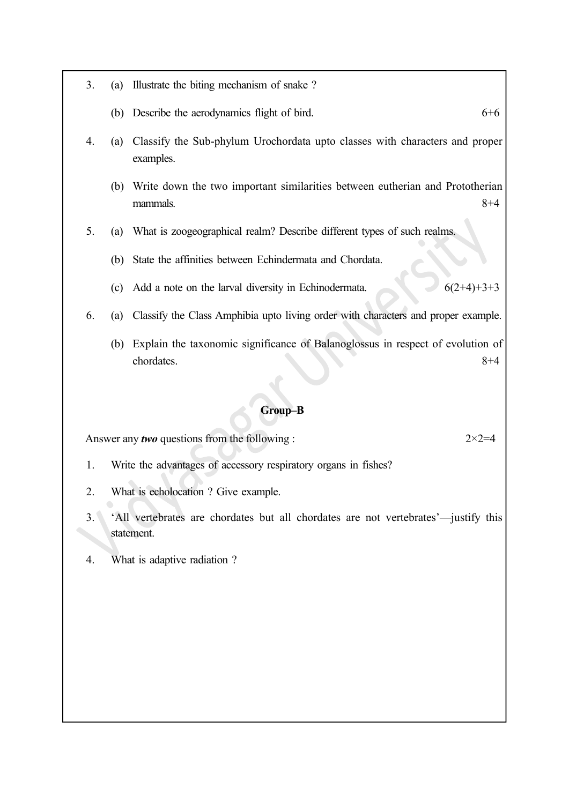- 3. (a) Illustrate the biting mechanism of snake ?
	- (b) Describe the aerodynamics flight of bird.  $6+6$
- 4. (a) Classify the Sub-phylum Urochordata upto classes with characters and proper examples.
	- (b) Write down the two important similarities between eutherian and Prototherian  $m$ ammals.  $8+4$
- 5. (a) What is zoogeographical realm? Describe different types of such realms.
	- (b) State the affinities between Echindermata and Chordata.
	- (c) Add a note on the larval diversity in Echinodermata.  $6(2+4)+3+3$
- 6. (a) Classify the Class Amphibia upto living order with characters and proper example.
	- (b) Explain the taxonomic significance of Balanoglossus in respect of evolution of chordates. 8+4

#### Group–B

Answer any *two* questions from the following :  $2 \times 2 = 4$ 

1. Write the advantages of accessory respiratory organs in fishes?

- 2. What is echolocation ? Give example.
- 3. 'All vertebrates are chordates but all chordates are not vertebrates'—justify this statement.
- 4. What is adaptive radiation ?